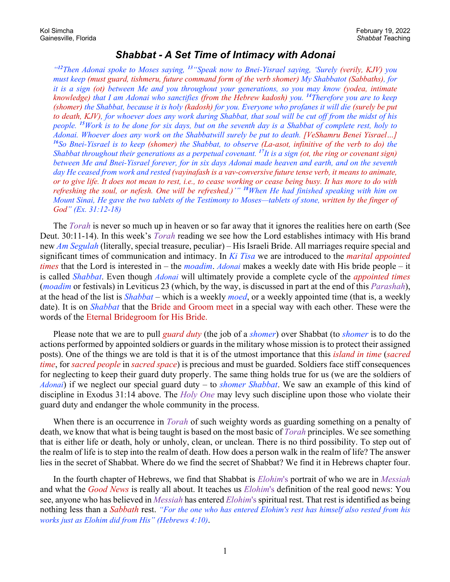## *Shabbat - A Set Time of Intimacy with Adonai*

*"<sup>12</sup>Then Adonai spoke to Moses saying, <sup>13</sup> "Speak now to Bnei-Yisrael saying, 'Surely (verily, KJV) you must keep (must guard, tishmeru, future command form of the verb shomer) My Shabbatot (Sabbaths), for it is a sign (ot) between Me and you throughout your generations, so you may know (yodea, intimate knowledge) that I am Adonai who sanctifies (from the Hebrew kadosh) you. <sup>14</sup>Therefore you are to keep (shomer) the Shabbat, because it is holy (kadosh) for you. Everyone who profanes it will die (surely be put to death, KJV), for whoever does any work during Shabbat, that soul will be cut off from the midst of his people. <sup>15</sup>Work is to be done for six days, but on the seventh day is a Shabbat of complete rest, holy to Adonai. Whoever does any work on the Shabbatwill surely be put to death. [VeShamru Benei Yisrael…] <sup>16</sup>So Bnei-Yisrael is to keep (shomer) the Shabbat, to observe (La-asot, infinitive of the verb to do) the Shabbat throughout their generations as a perpetual covenant. <sup>17</sup>It is a sign (ot, the ring or covenant sign) between Me and Bnei-Yisrael forever, for in six days Adonai made heaven and earth, and on the seventh day He ceased from work and rested (vayinafash is a vav-conversive future tense verb, it means to animate, or to give life. It does not mean to rest, i.e., to cease working or cease being busy. It has more to do with refreshing the soul, or nefesh. One will be refreshed.)'" <sup>18</sup>When He had finished speaking with him on Mount Sinai, He gave the two tablets of the Testimony to Moses—tablets of stone, written by the finger of God" (Ex. 31:12-18)*

The *Torah* is never so much up in heaven or so far away that it ignores the realities here on earth (See Deut. 30:11-14). In this week's *Torah* reading we see how the Lord establishes intimacy with His brand new *Am Segulah* (literally, special treasure, peculiar) – His Israeli Bride. All marriages require special and significant times of communication and intimacy. In *Ki Tisa* we are introduced to the *marital appointed times* that the Lord is interested in – the *moadim*. *Adonai* makes a weekly date with His bride people – it is called *Shabbat*. Even though *Adonai* will ultimately provide a complete cycle of the *appointed times* (*moadim* or festivals) in Leviticus 23 (which, by the way, is discussed in part at the end of this *Parashah*), at the head of the list is *Shabbat* – which is a weekly *moed*, or a weekly appointed time (that is, a weekly date). It is on *Shabbat* that the Bride and Groom meet in a special way with each other. These were the words of the Eternal Bridegroom for His Bride.

Please note that we are to pull *guard duty* (the job of a *shomer*) over Shabbat (to *shomer* is to do the actions performed by appointed soldiers or guards in the military whose mission is to protect their assigned posts). One of the things we are told is that it is of the utmost importance that this *island in time* (*sacred time*, for *sacred people* in *sacred space*) is precious and must be guarded. Soldiers face stiff consequences for neglecting to keep their guard duty properly. The same thing holds true for us (we are the soldiers of *Adonai*) if we neglect our special guard duty – to *shomer Shabbat*. We saw an example of this kind of discipline in Exodus 31:14 above. The *Holy One* may levy such discipline upon those who violate their guard duty and endanger the whole community in the process.

When there is an occurrence in *Torah* of such weighty words as guarding something on a penalty of death, we know that what is being taught is based on the most basic of *Torah* principles. We see something that is either life or death, holy or unholy, clean, or unclean. There is no third possibility. To step out of the realm of life is to step into the realm of death. How does a person walk in the realm of life? The answer lies in the secret of Shabbat. Where do we find the secret of Shabbat? We find it in Hebrews chapter four.

In the fourth chapter of Hebrews, we find that Shabbat is *Elohim*'s portrait of who we are in *Messiah* and what the *Good News* is really all about. It teaches us *Elohim*'s definition of the real good news: You see, anyone who has believed in *Messiah* has entered *Elohim*'s spiritual rest. That rest is identified as being nothing less than a *Sabbath* rest. *"For the one who has entered Elohim's rest has himself also rested from his works just as Elohim did from His" (Hebrews 4:10)*.